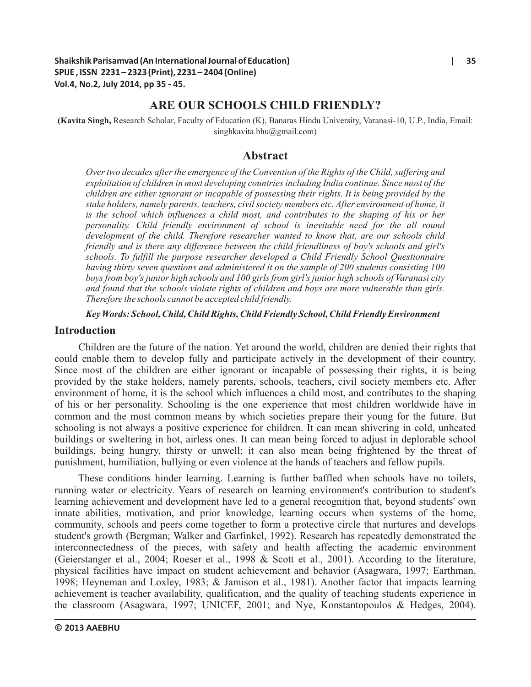# **ARE OUR SCHOOLS CHILD FRIENDLY?**

**(Kavita Singh,** Research Scholar, Faculty of Education (K), Banaras Hindu University, Varanasi-10, U.P., India, Email: singhkavita.bhu@gmail.com)

#### **Abstract**

*Over two decades after the emergence of the Convention of the Rights of the Child, suffering and exploitation of children in most developing countries including India continue. Since most of the children are either ignorant or incapable of possessing their rights. It is being provided by the stake holders, namely parents, teachers, civil society members etc. After environment of home, it is the school which influences a child most, and contributes to the shaping of his or her personality. Child friendly environment of school is inevitable need for the all round development of the child. Therefore researcher wanted to know that, are our schools child friendly and is there any difference between the child friendliness of boy's schools and girl's schools. To fulfill the purpose researcher developed a Child Friendly School Questionnaire having thirty seven questions and administered it on the sample of 200 students consisting 100 boys from boy's junior high schools and 100 girls from girl's junior high schools of Varanasi city and found that the schools violate rights of children and boys are more vulnerable than girls. Therefore the schools cannot be accepted child friendly.*

*Key Words: School, Child, Child Rights, Child Friendly School, Child Friendly Environment*

#### **Introduction**

Children are the future of the nation. Yet around the world, children are denied their rights that could enable them to develop fully and participate actively in the development of their country. Since most of the children are either ignorant or incapable of possessing their rights, it is being provided by the stake holders, namely parents, schools, teachers, civil society members etc. After environment of home, it is the school which influences a child most, and contributes to the shaping of his or her personality. Schooling is the one experience that most children worldwide have in common and the most common means by which societies prepare their young for the future. But schooling is not always a positive experience for children. It can mean shivering in cold, unheated buildings or sweltering in hot, airless ones. It can mean being forced to adjust in deplorable school buildings, being hungry, thirsty or unwell; it can also mean being frightened by the threat of punishment, humiliation, bullying or even violence at the hands of teachers and fellow pupils.

These conditions hinder learning. Learning is further baffled when schools have no toilets, running water or electricity. Years of research on learning environment's contribution to student's learning achievement and development have led to a general recognition that, beyond students' own innate abilities, motivation, and prior knowledge, learning occurs when systems of the home, community, schools and peers come together to form a protective circle that nurtures and develops student's growth (Bergman; Walker and Garfinkel, 1992). Research has repeatedly demonstrated the interconnectedness of the pieces, with safety and health affecting the academic environment (Geierstanger et al., 2004; Roeser et al., 1998 & Scott et al., 2001). According to the literature, physical facilities have impact on student achievement and behavior (Asagwara, 1997; Earthman, 1998; Heyneman and Loxley, 1983; & Jamison et al., 1981). Another factor that impacts learning achievement is teacher availability, qualification, and the quality of teaching students experience in the classroom (Asagwara, 1997; UNICEF, 2001; and Nye, Konstantopoulos & Hedges, 2004).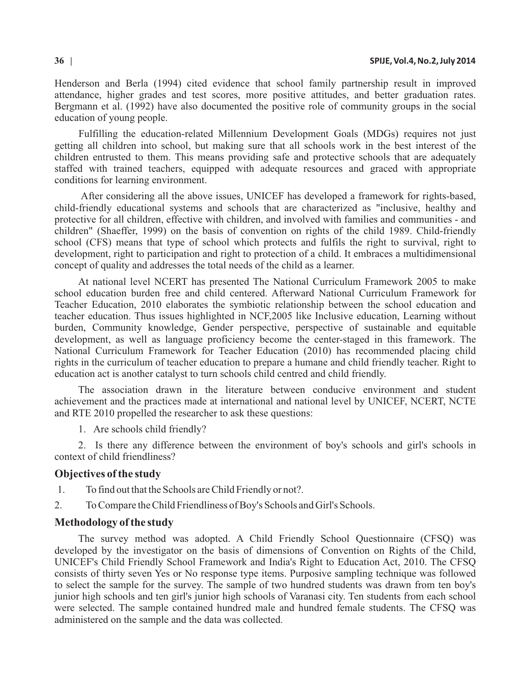Henderson and Berla (1994) cited evidence that school family partnership result in improved attendance, higher grades and test scores, more positive attitudes, and better graduation rates. Bergmann et al. (1992) have also documented the positive role of community groups in the social education of young people.

Fulfilling the education-related Millennium Development Goals (MDGs) requires not just getting all children into school, but making sure that all schools work in the best interest of the children entrusted to them. This means providing safe and protective schools that are adequately staffed with trained teachers, equipped with adequate resources and graced with appropriate conditions for learning environment.

 After considering all the above issues, UNICEF has developed a framework for rights-based, child-friendly educational systems and schools that are characterized as "inclusive, healthy and protective for all children, effective with children, and involved with families and communities - and children" (Shaeffer, 1999) on the basis of convention on rights of the child 1989. Child-friendly school (CFS) means that type of school which protects and fulfils the right to survival, right to development, right to participation and right to protection of a child. It embraces a multidimensional concept of quality and addresses the total needs of the child as a learner.

At national level NCERT has presented The National Curriculum Framework 2005 to make school education burden free and child centered. Afterward National Curriculum Framework for Teacher Education, 2010 elaborates the symbiotic relationship between the school education and teacher education. Thus issues highlighted in NCF,2005 like Inclusive education, Learning without burden, Community knowledge, Gender perspective, perspective of sustainable and equitable development, as well as language proficiency become the center-staged in this framework. The National Curriculum Framework for Teacher Education (2010) has recommended placing child rights in the curriculum of teacher education to prepare a humane and child friendly teacher. Right to education act is another catalyst to turn schools child centred and child friendly.

The association drawn in the literature between conducive environment and student achievement and the practices made at international and national level by UNICEF, NCERT, NCTE and RTE 2010 propelled the researcher to ask these questions:

1. Are schools child friendly?

2. Is there any difference between the environment of boy's schools and girl's schools in context of child friendliness?

#### **Objectives of the study**

- 1. To find out that the Schools are Child Friendly or not?.
- 2. To Compare the Child Friendliness of Boy's Schools and Girl's Schools.

#### **Methodology of the study**

The survey method was adopted. A Child Friendly School Questionnaire (CFSQ) was developed by the investigator on the basis of dimensions of Convention on Rights of the Child, UNICEF's Child Friendly School Framework and India's Right to Education Act, 2010. The CFSQ consists of thirty seven Yes or No response type items. Purposive sampling technique was followed to select the sample for the survey. The sample of two hundred students was drawn from ten boy's junior high schools and ten girl's junior high schools of Varanasi city. Ten students from each school were selected. The sample contained hundred male and hundred female students. The CFSQ was administered on the sample and the data was collected.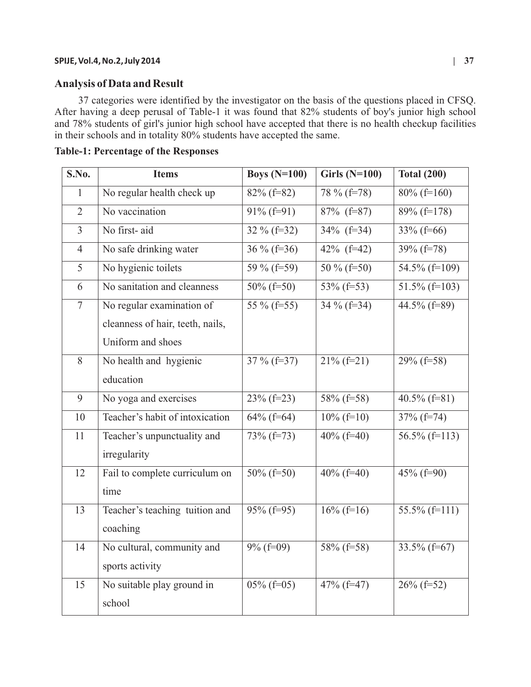#### **SPIJE, Vol.4, No.2, July 2014 | 37**

# **Analysis of Data and Result**

37 categories were identified by the investigator on the basis of the questions placed in CFSQ. After having a deep perusal of Table-1 it was found that 82% students of boy's junior high school and 78% students of girl's junior high school have accepted that there is no health checkup facilities in their schools and in totality 80% students have accepted the same.

| S.No.          | <b>Items</b>                     | Boys $(N=100)$ | <b>Girls (N=100)</b> | <b>Total (200)</b> |
|----------------|----------------------------------|----------------|----------------------|--------------------|
| $\mathbf{1}$   | No regular health check up       | $82\%$ (f=82)  | 78 % (f=78)          | $80\%$ (f=160)     |
| $\overline{2}$ | No vaccination                   | $91\%$ (f=91)  | $87\%$ (f=87)        | $89\%$ (f=178)     |
| $\overline{3}$ | No first-aid                     | $32\%$ (f=32)  | $34\%$ (f=34)        | $33\%$ (f=66)      |
| $\overline{4}$ | No safe drinking water           | $36\%$ (f=36)  | $42\%$ (f=42)        | $39\%$ (f=78)      |
| 5              | No hygienic toilets              | 59 % (f=59)    | 50 % (f=50)          | 54.5% (f=109)      |
| 6              | No sanitation and cleanness      | $50\%$ (f=50)  | 53% (f=53)           | 51.5% (f=103)      |
| $\overline{7}$ | No regular examination of        | 55 % (f=55)    | $34\%$ (f=34)        | 44.5% ( $f=89$ )   |
|                | cleanness of hair, teeth, nails, |                |                      |                    |
|                | Uniform and shoes                |                |                      |                    |
| 8              | No health and hygienic           | 37 % (f=37)    | $21\%$ (f=21)        | $29\%$ (f=58)      |
|                | education                        |                |                      |                    |
| 9              | No yoga and exercises            | $23\%$ (f=23)  | $58\%$ (f=58)        | 40.5% (f=81)       |
| 10             | Teacher's habit of intoxication  | $64\%$ (f=64)  | $10\%$ (f=10)        | $37\%$ (f=74)      |
| 11             | Teacher's unpunctuality and      | $73\%$ (f=73)  | $40\%$ (f=40)        | 56.5% (f=113)      |
|                | irregularity                     |                |                      |                    |
| 12             | Fail to complete curriculum on   | $50\%$ (f=50)  | 40% (f=40)           | $45\%$ (f=90)      |
|                | time                             |                |                      |                    |
| 13             | Teacher's teaching tuition and   | $95\%$ (f=95)  | $16\%$ (f=16)        | $55.5\%$ (f=111)   |
|                | coaching                         |                |                      |                    |
| 14             | No cultural, community and       | $9\%$ (f=09)   | $58\%$ (f=58)        | $33.5\%$ (f=67)    |
|                | sports activity                  |                |                      |                    |
| 15             | No suitable play ground in       | $05\%$ (f=05)  | 47% (f=47)           | $26\%$ (f=52)      |
|                | school                           |                |                      |                    |

**Table-1: Percentage of the Responses**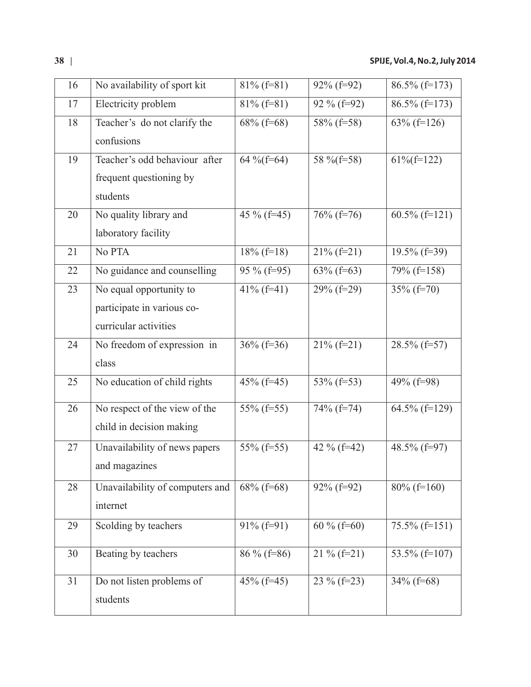| 16 | No availability of sport kit    | $81\%$ (f=81) | $92\%$ (f=92) | $86.5\%$ (f=173) |
|----|---------------------------------|---------------|---------------|------------------|
| 17 | Electricity problem             | $81\%$ (f=81) | 92 % (f=92)   | $86.5\%$ (f=173) |
| 18 | Teacher's do not clarify the    | $68\%$ (f=68) | 58% (f=58)    | $63\%$ (f=126)   |
|    | confusions                      |               |               |                  |
| 19 | Teacher's odd behaviour after   | 64 % (f=64)   | 58 % (f=58)   | $61\%$ (f=122)   |
|    | frequent questioning by         |               |               |                  |
|    | students                        |               |               |                  |
| 20 | No quality library and          | 45 % (f=45)   | $76\%$ (f=76) | $60.5\%$ (f=121) |
|    | laboratory facility             |               |               |                  |
| 21 | No PTA                          | $18\%$ (f=18) | $21\%$ (f=21) | $19.5\%$ (f=39)  |
| 22 | No guidance and counselling     | 95 % (f=95)   | $63\%$ (f=63) | 79% (f=158)      |
| 23 | No equal opportunity to         | $41\%$ (f=41) | $29\%$ (f=29) | $35\%$ (f=70)    |
|    | participate in various co-      |               |               |                  |
|    | curricular activities           |               |               |                  |
| 24 | No freedom of expression in     | $36\%$ (f=36) | $21\%$ (f=21) | $28.5\%$ (f=57)  |
|    | class                           |               |               |                  |
| 25 | No education of child rights    | 45% (f=45)    | 53% (f=53)    | 49% (f=98)       |
| 26 | No respect of the view of the   | $55\%$ (f=55) | 74% (f=74)    | 64.5% (f=129)    |
|    | child in decision making        |               |               |                  |
| 27 | Unavailability of news papers   | 55% (f=55)    | 42 % (f=42)   | 48.5% (f=97)     |
|    | and magazines                   |               |               |                  |
| 28 | Unavailability of computers and | $68\%$ (f=68) | $92\%$ (f=92) | $80\%$ (f=160)   |
|    | internet                        |               |               |                  |
| 29 | Scolding by teachers            | $91\%$ (f=91) | 60 % (f=60)   | $75.5\%$ (f=151) |
| 30 | Beating by teachers             | $86\%$ (f=86) | $21\%$ (f=21) | 53.5% (f=107)    |
|    |                                 |               |               |                  |
| 31 | Do not listen problems of       | $45\%$ (f=45) | 23 % (f=23)   | $34\%$ (f=68)    |
|    | students                        |               |               |                  |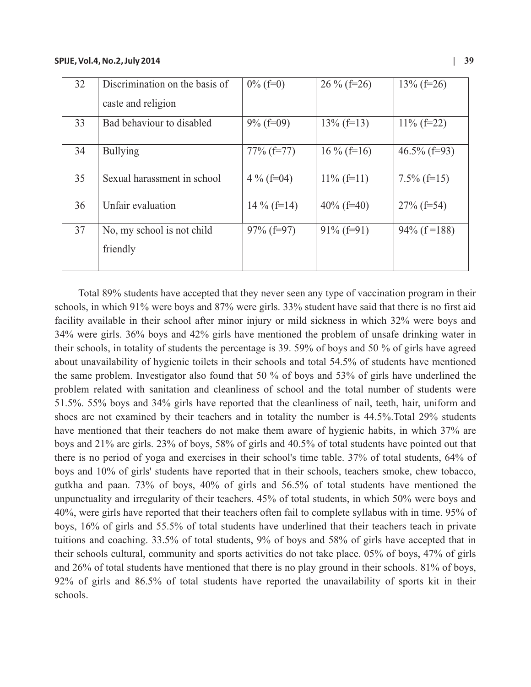| 32 | Discrimination on the basis of<br>caste and religion | $0\%$ (f=0)   | $26\%$ (f=26) | $13\%$ (f=26)   |
|----|------------------------------------------------------|---------------|---------------|-----------------|
| 33 | Bad behaviour to disabled                            | $9\%$ (f=09)  | $13\%$ (f=13) | $11\%$ (f=22)   |
| 34 | <b>Bullying</b>                                      | $77\%$ (f=77) | $16\%$ (f=16) | $46.5\%$ (f=93) |
| 35 | Sexual harassment in school                          | 4 % (f=04)    | $11\%$ (f=11) | $7.5\%$ (f=15)  |
| 36 | Unfair evaluation                                    | $14\%$ (f=14) | $40\%$ (f=40) | $27\%$ (f=54)   |
| 37 | No, my school is not child<br>friendly               | $97\%$ (f=97) | $91\%$ (f=91) | $94\%$ (f=188)  |

Total 89% students have accepted that they never seen any type of vaccination program in their schools, in which 91% were boys and 87% were girls. 33% student have said that there is no first aid facility available in their school after minor injury or mild sickness in which 32% were boys and 34% were girls. 36% boys and 42% girls have mentioned the problem of unsafe drinking water in their schools, in totality of students the percentage is 39. 59% of boys and 50 % of girls have agreed about unavailability of hygienic toilets in their schools and total 54.5% of students have mentioned the same problem. Investigator also found that 50 % of boys and 53% of girls have underlined the problem related with sanitation and cleanliness of school and the total number of students were 51.5%. 55% boys and 34% girls have reported that the cleanliness of nail, teeth, hair, uniform and shoes are not examined by their teachers and in totality the number is 44.5%.Total 29% students have mentioned that their teachers do not make them aware of hygienic habits, in which 37% are boys and 21% are girls. 23% of boys, 58% of girls and 40.5% of total students have pointed out that there is no period of yoga and exercises in their school's time table. 37% of total students, 64% of boys and 10% of girls' students have reported that in their schools, teachers smoke, chew tobacco, gutkha and paan. 73% of boys, 40% of girls and 56.5% of total students have mentioned the unpunctuality and irregularity of their teachers. 45% of total students, in which 50% were boys and 40%, were girls have reported that their teachers often fail to complete syllabus with in time. 95% of boys, 16% of girls and 55.5% of total students have underlined that their teachers teach in private tuitions and coaching. 33.5% of total students, 9% of boys and 58% of girls have accepted that in their schools cultural, community and sports activities do not take place. 05% of boys, 47% of girls and 26% of total students have mentioned that there is no play ground in their schools. 81% of boys, 92% of girls and 86.5% of total students have reported the unavailability of sports kit in their schools.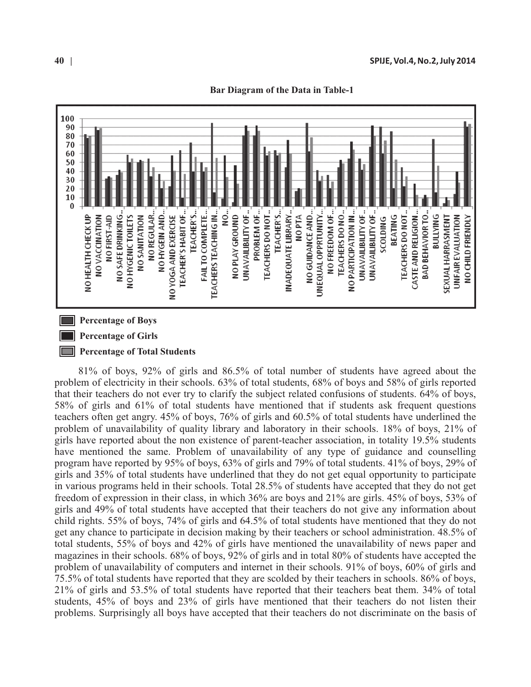

**Bar Diagram of the Data in Table-1**

# **Percentage of Girls**

#### **Percentage of Total Students**

81% of boys, 92% of girls and 86.5% of total number of students have agreed about the problem of electricity in their schools. 63% of total students, 68% of boys and 58% of girls reported that their teachers do not ever try to clarify the subject related confusions of students. 64% of boys, 58% of girls and 61% of total students have mentioned that if students ask frequent questions teachers often get angry. 45% of boys, 76% of girls and 60.5% of total students have underlined the problem of unavailability of quality library and laboratory in their schools. 18% of boys, 21% of girls have reported about the non existence of parent-teacher association, in totality 19.5% students have mentioned the same. Problem of unavailability of any type of guidance and counselling program have reported by 95% of boys, 63% of girls and 79% of total students. 41% of boys, 29% of girls and 35% of total students have underlined that they do not get equal opportunity to participate in various programs held in their schools. Total 28.5% of students have accepted that they do not get freedom of expression in their class, in which 36% are boys and 21% are girls. 45% of boys, 53% of girls and 49% of total students have accepted that their teachers do not give any information about child rights. 55% of boys, 74% of girls and 64.5% of total students have mentioned that they do not get any chance to participate in decision making by their teachers or school administration. 48.5% of total students, 55% of boys and 42% of girls have mentioned the unavailability of news paper and magazines in their schools. 68% of boys, 92% of girls and in total 80% of students have accepted the problem of unavailability of computers and internet in their schools. 91% of boys, 60% of girls and 75.5% of total students have reported that they are scolded by their teachers in schools. 86% of boys, 21% of girls and 53.5% of total students have reported that their teachers beat them. 34% of total students, 45% of boys and 23% of girls have mentioned that their teachers do not listen their problems. Surprisingly all boys have accepted that their teachers do not discriminate on the basis of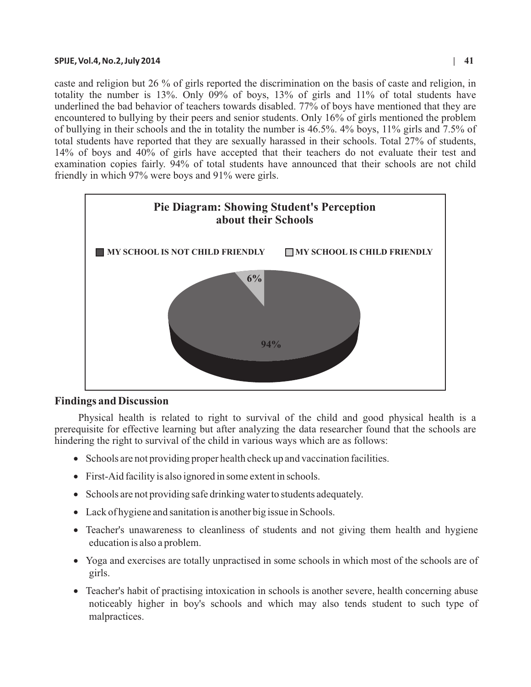#### **SPIJE, Vol.4, No.2, July 2014 | 41**

caste and religion but 26 % of girls reported the discrimination on the basis of caste and religion, in totality the number is 13%. Only 09% of boys, 13% of girls and 11% of total students have underlined the bad behavior of teachers towards disabled. 77% of boys have mentioned that they are encountered to bullying by their peers and senior students. Only 16% of girls mentioned the problem of bullying in their schools and the in totality the number is 46.5%. 4% boys, 11% girls and 7.5% of total students have reported that they are sexually harassed in their schools. Total 27% of students, 14% of boys and 40% of girls have accepted that their teachers do not evaluate their test and examination copies fairly. 94% of total students have announced that their schools are not child friendly in which 97% were boys and 91% were girls.



### **Findings and Discussion**

Physical health is related to right to survival of the child and good physical health is a prerequisite for effective learning but after analyzing the data researcher found that the schools are hindering the right to survival of the child in various ways which are as follows:

- Schools are not providing proper health check up and vaccination facilities.
- First-Aid facility is also ignored in some extent in schools.
- Schools are not providing safe drinking water to students adequately.
- Lack of hygiene and sanitation is another big issue in Schools.
- Teacher's unawareness to cleanliness of students and not giving them health and hygiene education is also a problem.
- Yoga and exercises are totally unpractised in some schools in which most of the schools are of girls.
- Teacher's habit of practising intoxication in schools is another severe, health concerning abuse noticeably higher in boy's schools and which may also tends student to such type of malpractices.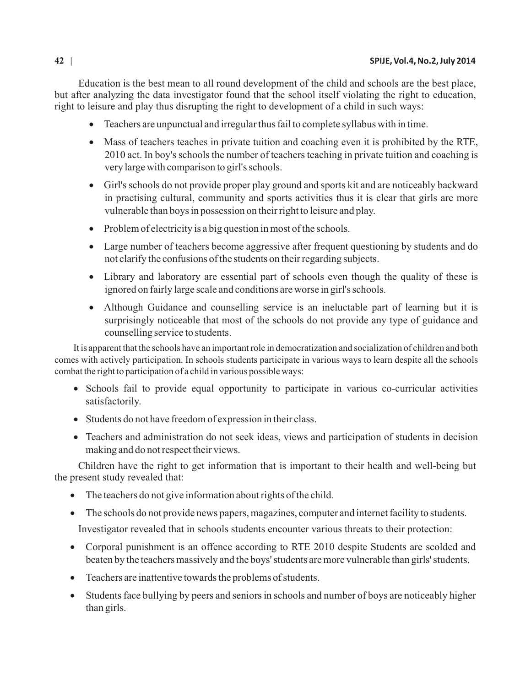Education is the best mean to all round development of the child and schools are the best place, but after analyzing the data investigator found that the school itself violating the right to education, right to leisure and play thus disrupting the right to development of a child in such ways:

- ·Teachers are unpunctual and irregular thus fail to complete syllabus with in time.
- Mass of teachers teaches in private tuition and coaching even it is prohibited by the RTE, 2010 act. In boy's schools the number of teachers teaching in private tuition and coaching is very large with comparison to girl's schools.
- ·Girl's schools do not provide proper play ground and sports kit and are noticeably backward in practising cultural, community and sports activities thus it is clear that girls are more vulnerable than boys in possession on their right to leisure and play.
- Problem of electricity is a big question in most of the schools.
- Large number of teachers become aggressive after frequent questioning by students and do not clarify the confusions of the students on their regarding subjects.
- Library and laboratory are essential part of schools even though the quality of these is ignored on fairly large scale and conditions are worse in girl's schools.
- Although Guidance and counselling service is an ineluctable part of learning but it is surprisingly noticeable that most of the schools do not provide any type of guidance and counselling service to students.

It is apparent that the schools have an important role in democratization and socialization of children and both comes with actively participation. In schools students participate in various ways to learn despite all the schools combat the right to participation of a child in various possible ways:

- Schools fail to provide equal opportunity to participate in various co-curricular activities satisfactorily.
- Students do not have freedom of expression in their class.
- Teachers and administration do not seek ideas, views and participation of students in decision making and do not respect their views.

Children have the right to get information that is important to their health and well-being but the present study revealed that:

- ·The teachers do not give information about rights of the child.
- ·The schools do not provide news papers, magazines, computer and internet facility to students.

Investigator revealed that in schools students encounter various threats to their protection:

- Corporal punishment is an offence according to RTE 2010 despite Students are scolded and beaten by the teachers massively and the boys' students are more vulnerable than girls' students.
- Teachers are inattentive towards the problems of students.
- Students face bullying by peers and seniors in schools and number of boys are noticeably higher than girls.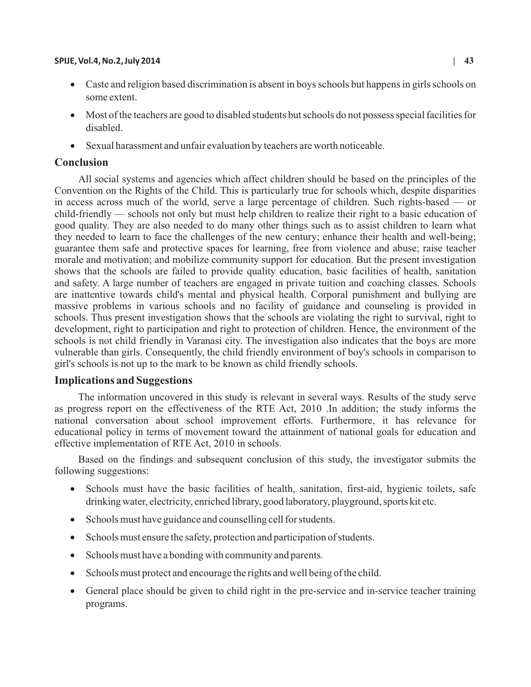#### **SPIJE, Vol.4, No.2, July 2014 | 43**

- Caste and religion based discrimination is absent in boys schools but happens in girls schools on some extent.
- ·Most of the teachers are good to disabled students but schools do not possess special facilities for disabled.
- Sexual harassment and unfair evaluation by teachers are worth noticeable.

# **Conclusion**

All social systems and agencies which affect children should be based on the principles of the Convention on the Rights of the Child. This is particularly true for schools which, despite disparities in access across much of the world, serve a large percentage of children. Such rights-based — or child-friendly — schools not only but must help children to realize their right to a basic education of good quality. They are also needed to do many other things such as to assist children to learn what they needed to learn to face the challenges of the new century; enhance their health and well-being; guarantee them safe and protective spaces for learning, free from violence and abuse; raise teacher morale and motivation; and mobilize community support for education. But the present investigation shows that the schools are failed to provide quality education, basic facilities of health, sanitation and safety. A large number of teachers are engaged in private tuition and coaching classes. Schools are inattentive towards child's mental and physical health. Corporal punishment and bullying are massive problems in various schools and no facility of guidance and counseling is provided in schools. Thus present investigation shows that the schools are violating the right to survival, right to development, right to participation and right to protection of children. Hence, the environment of the schools is not child friendly in Varanasi city. The investigation also indicates that the boys are more vulnerable than girls. Consequently, the child friendly environment of boy's schools in comparison to girl's schools is not up to the mark to be known as child friendly schools.

# **Implications and Suggestions**

The information uncovered in this study is relevant in several ways. Results of the study serve as progress report on the effectiveness of the RTE Act, 2010 .In addition; the study informs the national conversation about school improvement efforts. Furthermore, it has relevance for educational policy in terms of movement toward the attainment of national goals for education and effective implementation of RTE Act, 2010 in schools.

Based on the findings and subsequent conclusion of this study, the investigator submits the following suggestions:

- Schools must have the basic facilities of health, sanitation, first-aid, hygienic toilets, safe drinking water, electricity, enriched library, good laboratory, playground, sports kit etc.
- Schools must have guidance and counselling cell for students.
- Schools must ensure the safety, protection and participation of students.
- Schools must have a bonding with community and parents.
- Schools must protect and encourage the rights and well being of the child.
- General place should be given to child right in the pre-service and in-service teacher training programs.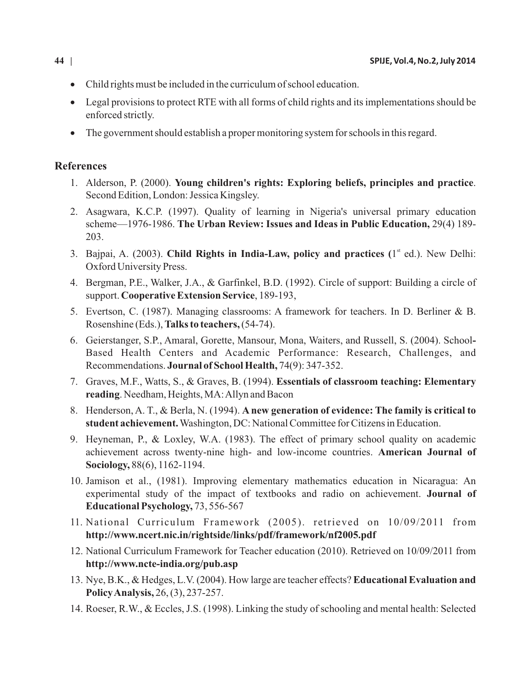- Child rights must be included in the curriculum of school education.
- ·Legal provisions to protect RTE with all forms of child rights and its implementations should be enforced strictly.
- The government should establish a proper monitoring system for schools in this regard.

# **References**

- 1. Alderson, P. (2000). **Young children's rights: Exploring beliefs, principles and practice**. Second Edition, London: Jessica Kingsley.
- 2. Asagwara, K.C.P. (1997). Quality of learning in Nigeria's universal primary education scheme—1976-1986. **The Urban Review: Issues and Ideas in Public Education,** 29(4) 189- 203.
- 3. Bajpai, A. (2003). **Child Rights in India-Law, policy and practices (1<sup>st</sup> ed.). New Delhi:** Oxford University Press.
- 4. Bergman, P.E., Walker, J.A., & Garfinkel, B.D. (1992). Circle of support: Building a circle of support. **Cooperative Extension Service**, 189-193,
- 5. Evertson, C. (1987). Managing classrooms: A framework for teachers. In D. Berliner & B. Rosenshine (Eds.), **Talks to teachers,**(54-74).
- 6. Geierstanger, S.P., Amaral, Gorette, Mansour, Mona, Waiters, and Russell, S. (2004). School**-**Based Health Centers and Academic Performance: Research, Challenges, and Recommendations. **Journal of School Health,** 74(9): 347-352.
- 7. Graves, M.F., Watts, S., & Graves, B. (1994). **Essentials of classroom teaching: Elementary reading**. Needham, Heights, MA: Allyn and Bacon
- 8. Henderson, A. T., & Berla, N. (1994). **A new generation of evidence: The family is critical to student achievement.**Washington, DC: National Committee for Citizens in Education.
- 9. Heyneman, P., & Loxley, W.A. (1983). The effect of primary school quality on academic achievement across twenty-nine high- and low-income countries. **American Journal of Sociology,** 88(6), 1162-1194.
- 10. Jamison et al., (1981). Improving elementary mathematics education in Nicaragua: An experimental study of the impact of textbooks and radio on achievement. **Journal of Educational Psychology,** 73, 556-567
- 11. National Curriculum Framework (2005). retrieved on 10/09/2011 from **http://www.ncert.nic.in/rightside/links/pdf/framework/nf2005.pdf**
- 12. National Curriculum Framework for Teacher education (2010). Retrieved on 10/09/2011 from **http://www.ncte-india.org/pub.asp**
- 13. Nye, B.K., & Hedges, L.V. (2004). How large are teacher effects? **Educational Evaluation and Policy Analysis,** 26, (3), 237-257.
- 14. Roeser, R.W., & Eccles, J.S. (1998). Linking the study of schooling and mental health: Selected